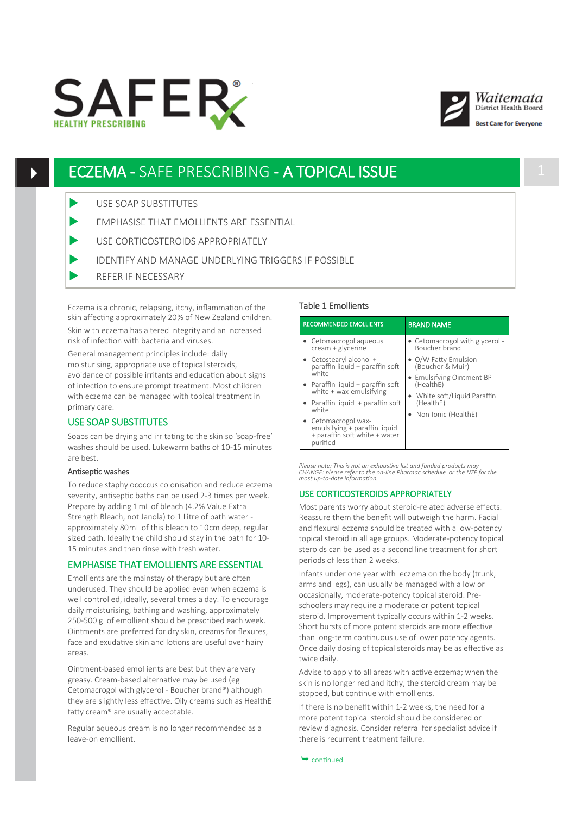





st Care for Evervone

# ECZEMA - SAFE PRESCRIBING - A TOPICAL ISSUE 1

- USE SOAP SUBSTITUTES
- EMPHASISE THAT EMOLLIENTS ARE ESSENTIAL
- USE CORTICOSTEROIDS APPROPRIATELY
- IDENTIFY AND MANAGE UNDERLYING TRIGGERS IF POSSIBLE
- REFER IF NECESSARY

Eczema is a chronic, relapsing, itchy, inflammation of the skin affecting approximately 20% of New Zealand children. Skin with eczema has altered integrity and an increased risk of infection with bacteria and viruses.

General management principles include: daily moisturising, appropriate use of topical steroids, avoidance of possible irritants and education about signs of infection to ensure prompt treatment. Most children with eczema can be managed with topical treatment in primary care.

# USE SOAP SUBSTITUTES

Soaps can be drying and irritating to the skin so 'soap-free' washes should be used. Lukewarm baths of 10-15 minutes are best.

#### Antiseptic washes

To reduce staphylococcus colonisation and reduce eczema severity, antiseptic baths can be used 2-3 times per week. Prepare by adding 1 mL of bleach (4.2% Value Extra Strength Bleach, not Janola) to 1 Litre of bath water approximately 80mL of this bleach to 10cm deep, regular sized bath. Ideally the child should stay in the bath for 10- 15 minutes and then rinse with fresh water.

#### EMPHASISE THAT EMOLLIENTS ARE ESSENTIAL

Emollients are the mainstay of therapy but are often underused. They should be applied even when eczema is well controlled, ideally, several times a day. To encourage daily moisturising, bathing and washing, approximately 250-500 g of emollient should be prescribed each week. Ointments are preferred for dry skin, creams for flexures, face and exudative skin and lotions are useful over hairy areas.

Ointment-based emollients are best but they are very greasy. Cream-based alternative may be used (eg Cetomacrogol with glycerol - Boucher brand®) although they are slightly less effective. Oily creams such as HealthE fatty cream® are usually acceptable.

Regular aqueous cream is no longer recommended as a leave-on emollient.

# Table 1 Emollients

| <b>RECOMMENDED EMOLLIENTS</b>                                                                     | <b>BRAND NAME</b>                                                                                          |
|---------------------------------------------------------------------------------------------------|------------------------------------------------------------------------------------------------------------|
| • Cetomacrogol aqueous<br>cream + glycerine                                                       | • Cetomacrogol with glycerol -<br>Boucher brand                                                            |
| • Cetostearyl alcohol +<br>paraffin liquid + paraffin soft                                        | • O/W Fatty Emulsion<br>(Boucher & Muir)                                                                   |
| white<br>• Paraffin liquid + paraffin soft<br>white + wax-emulsifying                             | • Emulsifying Ointment BP<br>(HealthE)<br>• White soft/Liquid Paraffin<br>(HealthE)<br>Non-Ionic (HealthE) |
| • Paraffin liquid $+$ paraffin soft<br>white                                                      |                                                                                                            |
| • Cetomacrogol wax-<br>emulsifying + paraffin liquid<br>+ paraffin soft white + water<br>purified |                                                                                                            |

*Please note: This is not an exhaustive list and funded products may CHANGE: please refer to the on-line Pharmac schedule or the NZF for the most up-to-date information.*

### USE CORTICOSTEROIDS APPROPRIATELY

Most parents worry about steroid-related adverse effects. Reassure them the benefit will outweigh the harm. Facial and flexural eczema should be treated with a low-potency topical steroid in all age groups. Moderate-potency topical steroids can be used as a second line treatment for short periods of less than 2 weeks.

Infants under one year with eczema on the body (trunk, arms and legs), can usually be managed with a low or occasionally, moderate-potency topical steroid. Preschoolers may require a moderate or potent topical steroid. Improvement typically occurs within 1-2 weeks. Short bursts of more potent steroids are more effective than long-term continuous use of lower potency agents. Once daily dosing of topical steroids may be as effective as twice daily.

Advise to apply to all areas with active eczema; when the skin is no longer red and itchy, the steroid cream may be stopped, but continue with emollients.

If there is no benefit within 1-2 weeks, the need for a more potent topical steroid should be considered or review diagnosis. Consider referral for specialist advice if there is recurrent treatment failure.

 $\rightarrow$  continued